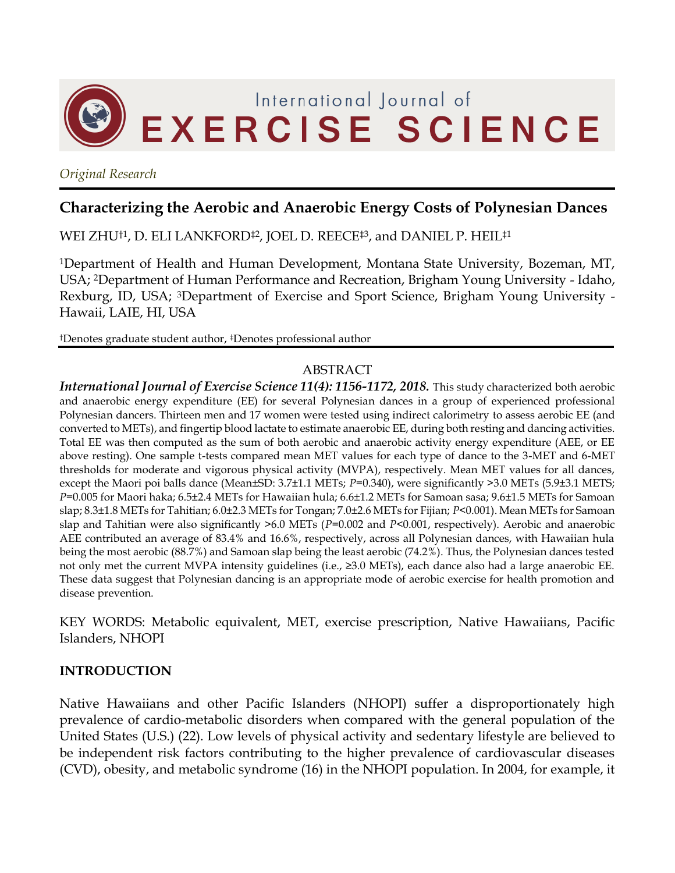

*Original Research*

# **Characterizing the Aerobic and Anaerobic Energy Costs of Polynesian Dances**

WEI ZHU†1, D. ELI LANKFORD‡2, JOEL D. REECE‡3 , and DANIEL P. HEIL‡1

<sup>1</sup>Department of Health and Human Development, Montana State University, Bozeman, MT, USA; 2Department of Human Performance and Recreation, Brigham Young University - Idaho, Rexburg, ID, USA; 3Department of Exercise and Sport Science, Brigham Young University - Hawaii, LAIE, HI, USA

†Denotes graduate student author, ‡Denotes professional author

#### ABSTRACT

*International Journal of Exercise Science 11(4): 1156-1172, 2018.* This study characterized both aerobic and anaerobic energy expenditure (EE) for several Polynesian dances in a group of experienced professional Polynesian dancers. Thirteen men and 17 women were tested using indirect calorimetry to assess aerobic EE (and converted to METs), and fingertip blood lactate to estimate anaerobic EE, during both resting and dancing activities. Total EE was then computed as the sum of both aerobic and anaerobic activity energy expenditure (AEE, or EE above resting). One sample t-tests compared mean MET values for each type of dance to the 3-MET and 6-MET thresholds for moderate and vigorous physical activity (MVPA), respectively. Mean MET values for all dances, except the Maori poi balls dance (Mean±SD: 3.7±1.1 METs;  $P=0.340$ ), were significantly >3.0 METs (5.9±3.1 METS; *P*=0.005 for Maori haka; 6.5±2.4 METs for Hawaiian hula; 6.6±1.2 METs for Samoan sasa; 9.6±1.5 METs for Samoan slap; 8.3±1.8 METs for Tahitian; 6.0±2.3 METs for Tongan; 7.0±2.6 METs for Fijian; *P*<0.001). Mean METs for Samoan slap and Tahitian were also significantly >6.0 METs (*P*=0.002 and *P*<0.001, respectively). Aerobic and anaerobic AEE contributed an average of 83.4% and 16.6%, respectively, across all Polynesian dances, with Hawaiian hula being the most aerobic (88.7%) and Samoan slap being the least aerobic (74.2%). Thus, the Polynesian dances tested not only met the current MVPA intensity guidelines (i.e., ≥3.0 METs), each dance also had a large anaerobic EE. These data suggest that Polynesian dancing is an appropriate mode of aerobic exercise for health promotion and disease prevention.

KEY WORDS: Metabolic equivalent, MET, exercise prescription, Native Hawaiians, Pacific Islanders, NHOPI

# **INTRODUCTION**

Native Hawaiians and other Pacific Islanders (NHOPI) suffer a disproportionately high prevalence of cardio-metabolic disorders when compared with the general population of the United States (U.S.) (22). Low levels of physical activity and sedentary lifestyle are believed to be independent risk factors contributing to the higher prevalence of cardiovascular diseases (CVD), obesity, and metabolic syndrome (16) in the NHOPI population. In 2004, for example, it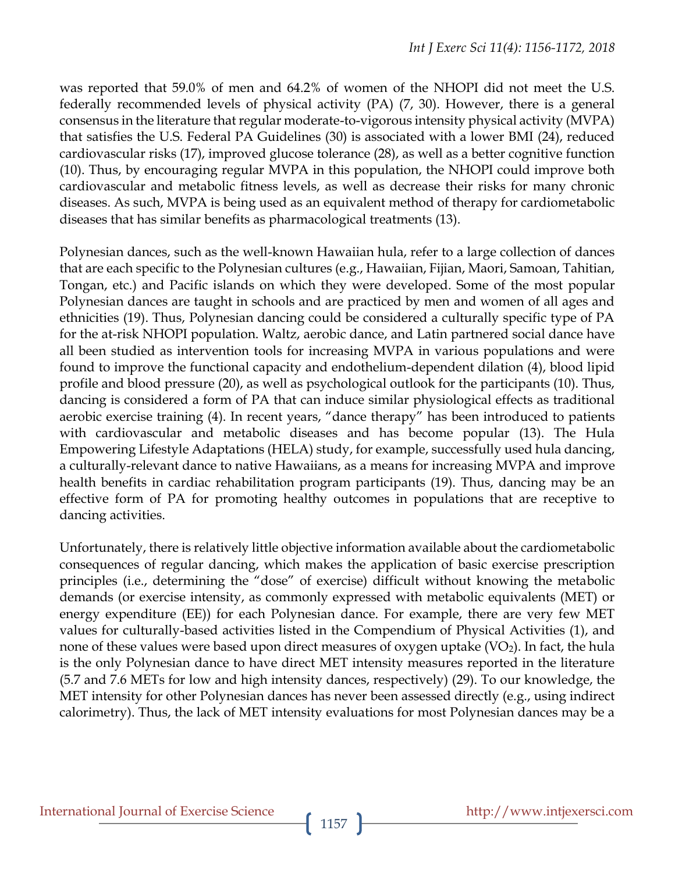was reported that 59.0% of men and 64.2% of women of the NHOPI did not meet the U.S. federally recommended levels of physical activity (PA) (7, 30). However, there is a general consensus in the literature that regular moderate-to-vigorous intensity physical activity (MVPA) that satisfies the U.S. Federal PA Guidelines (30) is associated with a lower BMI (24), reduced cardiovascular risks (17), improved glucose tolerance (28), as well as a better cognitive function (10). Thus, by encouraging regular MVPA in this population, the NHOPI could improve both cardiovascular and metabolic fitness levels, as well as decrease their risks for many chronic diseases. As such, MVPA is being used as an equivalent method of therapy for cardiometabolic diseases that has similar benefits as pharmacological treatments (13).

Polynesian dances, such as the well-known Hawaiian hula, refer to a large collection of dances that are each specific to the Polynesian cultures (e.g., Hawaiian, Fijian, Maori, Samoan, Tahitian, Tongan, etc.) and Pacific islands on which they were developed. Some of the most popular Polynesian dances are taught in schools and are practiced by men and women of all ages and ethnicities (19). Thus, Polynesian dancing could be considered a culturally specific type of PA for the at-risk NHOPI population. Waltz, aerobic dance, and Latin partnered social dance have all been studied as intervention tools for increasing MVPA in various populations and were found to improve the functional capacity and endothelium-dependent dilation (4), blood lipid profile and blood pressure (20), as well as psychological outlook for the participants (10). Thus, dancing is considered a form of PA that can induce similar physiological effects as traditional aerobic exercise training (4). In recent years, "dance therapy" has been introduced to patients with cardiovascular and metabolic diseases and has become popular (13). The Hula Empowering Lifestyle Adaptations (HELA) study, for example, successfully used hula dancing, a culturally-relevant dance to native Hawaiians, as a means for increasing MVPA and improve health benefits in cardiac rehabilitation program participants (19). Thus, dancing may be an effective form of PA for promoting healthy outcomes in populations that are receptive to dancing activities.

Unfortunately, there is relatively little objective information available about the cardiometabolic consequences of regular dancing, which makes the application of basic exercise prescription principles (i.e., determining the "dose" of exercise) difficult without knowing the metabolic demands (or exercise intensity, as commonly expressed with metabolic equivalents (MET) or energy expenditure (EE)) for each Polynesian dance. For example, there are very few MET values for culturally-based activities listed in the Compendium of Physical Activities (1), and none of these values were based upon direct measures of oxygen uptake  $(VO<sub>2</sub>)$ . In fact, the hula is the only Polynesian dance to have direct MET intensity measures reported in the literature (5.7 and 7.6 METs for low and high intensity dances, respectively) (29). To our knowledge, the MET intensity for other Polynesian dances has never been assessed directly (e.g., using indirect calorimetry). Thus, the lack of MET intensity evaluations for most Polynesian dances may be a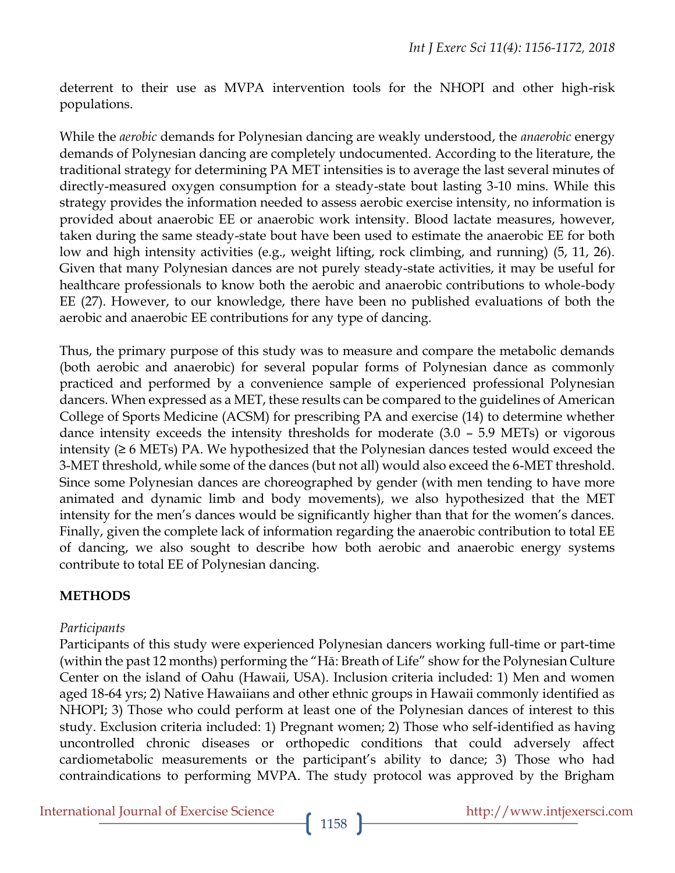deterrent to their use as MVPA intervention tools for the NHOPI and other high-risk populations.

While the *aerobic* demands for Polynesian dancing are weakly understood, the *anaerobic* energy demands of Polynesian dancing are completely undocumented. According to the literature, the traditional strategy for determining PA MET intensities is to average the last several minutes of directly-measured oxygen consumption for a steady-state bout lasting 3-10 mins. While this strategy provides the information needed to assess aerobic exercise intensity, no information is provided about anaerobic EE or anaerobic work intensity. Blood lactate measures, however, taken during the same steady-state bout have been used to estimate the anaerobic EE for both low and high intensity activities (e.g., weight lifting, rock climbing, and running) (5, 11, 26). Given that many Polynesian dances are not purely steady-state activities, it may be useful for healthcare professionals to know both the aerobic and anaerobic contributions to whole-body EE (27). However, to our knowledge, there have been no published evaluations of both the aerobic and anaerobic EE contributions for any type of dancing.

Thus, the primary purpose of this study was to measure and compare the metabolic demands (both aerobic and anaerobic) for several popular forms of Polynesian dance as commonly practiced and performed by a convenience sample of experienced professional Polynesian dancers. When expressed as a MET, these results can be compared to the guidelines of American College of Sports Medicine (ACSM) for prescribing PA and exercise (14) to determine whether dance intensity exceeds the intensity thresholds for moderate (3.0 – 5.9 METs) or vigorous intensity  $(≥ 6 \text{ METs})$  PA. We hypothesized that the Polynesian dances tested would exceed the 3-MET threshold, while some of the dances (but not all) would also exceed the 6-MET threshold. Since some Polynesian dances are choreographed by gender (with men tending to have more animated and dynamic limb and body movements), we also hypothesized that the MET intensity for the men's dances would be significantly higher than that for the women's dances. Finally, given the complete lack of information regarding the anaerobic contribution to total EE of dancing, we also sought to describe how both aerobic and anaerobic energy systems contribute to total EE of Polynesian dancing.

# **METHODS**

#### *Participants*

Participants of this study were experienced Polynesian dancers working full-time or part-time (within the past 12 months) performing the "Hā: Breath of Life" show for the Polynesian Culture Center on the island of Oahu (Hawaii, USA). Inclusion criteria included: 1) Men and women aged 18-64 yrs; 2) Native Hawaiians and other ethnic groups in Hawaii commonly identified as NHOPI; 3) Those who could perform at least one of the Polynesian dances of interest to this study. Exclusion criteria included: 1) Pregnant women; 2) Those who self-identified as having uncontrolled chronic diseases or orthopedic conditions that could adversely affect cardiometabolic measurements or the participant's ability to dance; 3) Those who had contraindications to performing MVPA. The study protocol was approved by the Brigham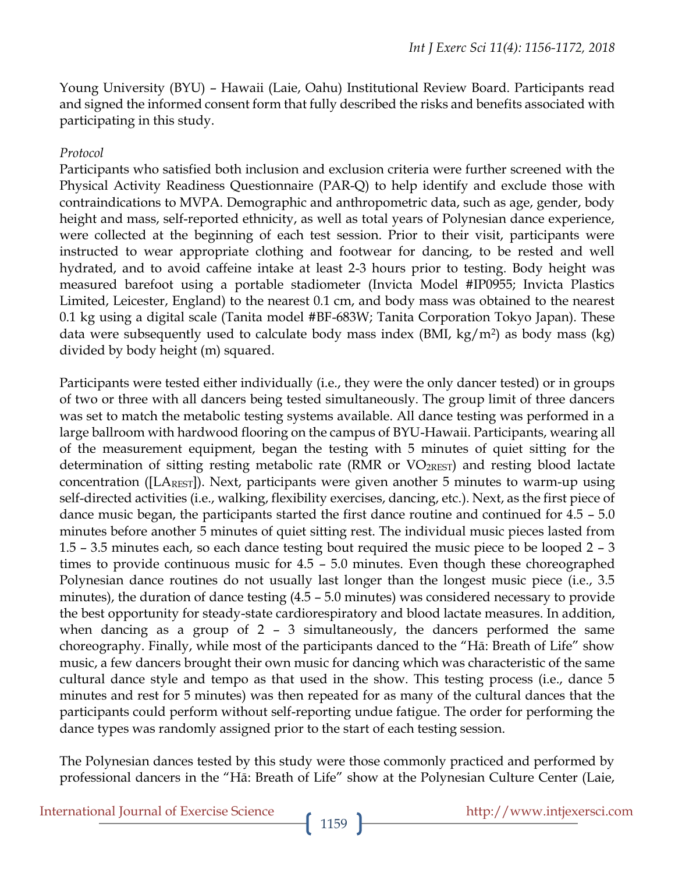Young University (BYU) – Hawaii (Laie, Oahu) Institutional Review Board. Participants read and signed the informed consent form that fully described the risks and benefits associated with participating in this study.

#### *Protocol*

Participants who satisfied both inclusion and exclusion criteria were further screened with the Physical Activity Readiness Questionnaire (PAR-Q) to help identify and exclude those with contraindications to MVPA. Demographic and anthropometric data, such as age, gender, body height and mass, self-reported ethnicity, as well as total years of Polynesian dance experience, were collected at the beginning of each test session. Prior to their visit, participants were instructed to wear appropriate clothing and footwear for dancing, to be rested and well hydrated, and to avoid caffeine intake at least 2-3 hours prior to testing. Body height was measured barefoot using a portable stadiometer (Invicta Model #IP0955; Invicta Plastics Limited, Leicester, England) to the nearest 0.1 cm, and body mass was obtained to the nearest 0.1 kg using a digital scale (Tanita model #BF-683W; Tanita Corporation Tokyo Japan). These data were subsequently used to calculate body mass index (BMI,  $\text{kg/m}^2$ ) as body mass (kg) divided by body height (m) squared.

Participants were tested either individually (i.e., they were the only dancer tested) or in groups of two or three with all dancers being tested simultaneously. The group limit of three dancers was set to match the metabolic testing systems available. All dance testing was performed in a large ballroom with hardwood flooring on the campus of BYU-Hawaii. Participants, wearing all of the measurement equipment, began the testing with 5 minutes of quiet sitting for the determination of sitting resting metabolic rate (RMR or  $VO_{2REST}$ ) and resting blood lactate concentration ( $[LA_{REST}]$ ). Next, participants were given another 5 minutes to warm-up using self-directed activities (i.e., walking, flexibility exercises, dancing, etc.). Next, as the first piece of dance music began, the participants started the first dance routine and continued for 4.5 – 5.0 minutes before another 5 minutes of quiet sitting rest. The individual music pieces lasted from 1.5 – 3.5 minutes each, so each dance testing bout required the music piece to be looped 2 – 3 times to provide continuous music for 4.5 – 5.0 minutes. Even though these choreographed Polynesian dance routines do not usually last longer than the longest music piece (i.e., 3.5 minutes), the duration of dance testing (4.5 – 5.0 minutes) was considered necessary to provide the best opportunity for steady-state cardiorespiratory and blood lactate measures. In addition, when dancing as a group of 2 – 3 simultaneously, the dancers performed the same choreography. Finally, while most of the participants danced to the "Hā: Breath of Life" show music, a few dancers brought their own music for dancing which was characteristic of the same cultural dance style and tempo as that used in the show. This testing process (i.e., dance 5 minutes and rest for 5 minutes) was then repeated for as many of the cultural dances that the participants could perform without self-reporting undue fatigue. The order for performing the dance types was randomly assigned prior to the start of each testing session.

The Polynesian dances tested by this study were those commonly practiced and performed by professional dancers in the "Hā: Breath of Life" show at the Polynesian Culture Center (Laie,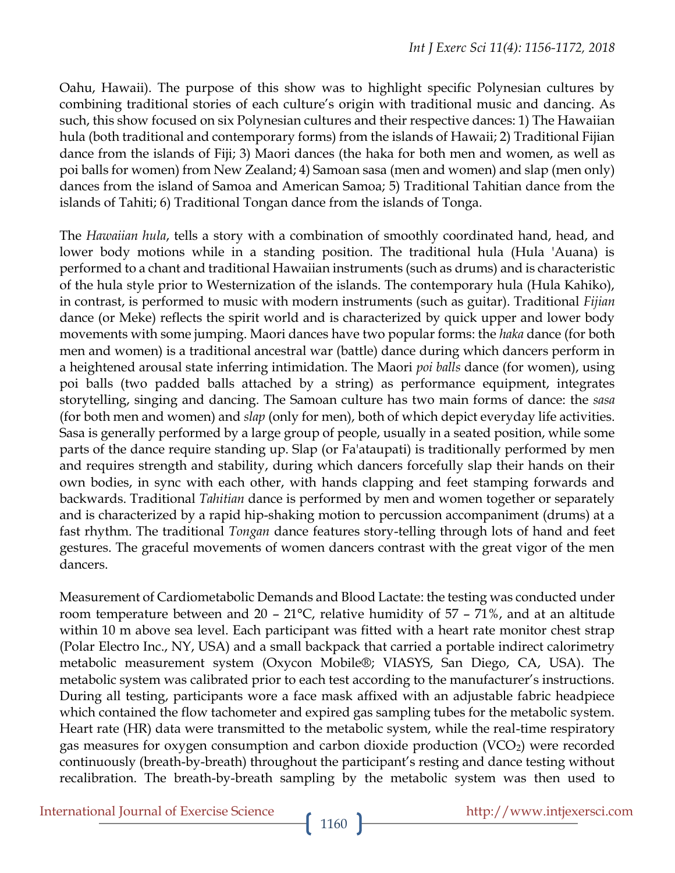Oahu, Hawaii). The purpose of this show was to highlight specific Polynesian cultures by combining traditional stories of each culture's origin with traditional music and dancing. As such, this show focused on six Polynesian cultures and their respective dances: 1) The Hawaiian hula (both traditional and contemporary forms) from the islands of Hawaii; 2) Traditional Fijian dance from the islands of Fiji; 3) Maori dances (the haka for both men and women, as well as poi balls for women) from New Zealand; 4) Samoan sasa (men and women) and slap (men only) dances from the island of Samoa and American Samoa; 5) Traditional Tahitian dance from the islands of Tahiti; 6) Traditional Tongan dance from the islands of Tonga.

The *Hawaiian hula*, tells a story with a combination of smoothly coordinated hand, head, and lower body motions while in a standing position. The traditional hula (Hula 'Auana) is performed to a chant and traditional Hawaiian instruments (such as drums) and is characteristic of the hula style prior to Westernization of the islands. The contemporary hula (Hula Kahiko), in contrast, is performed to music with modern instruments (such as guitar). Traditional *Fijian* dance (or Meke) reflects the spirit world and is characterized by quick upper and lower body movements with some jumping. Maori dances have two popular forms: the *haka* dance (for both men and women) is a traditional ancestral war (battle) dance during which dancers perform in a heightened arousal state inferring intimidation. The Maori *poi balls* dance (for women), using poi balls (two padded balls attached by a string) as performance equipment, integrates storytelling, singing and dancing. The Samoan culture has two main forms of dance: the *sasa* (for both men and women) and *slap* (only for men), both of which depict everyday life activities. Sasa is generally performed by a large group of people, usually in a seated position, while some parts of the dance require standing up. Slap (or Fa'ataupati) is traditionally performed by men and requires strength and stability, during which dancers forcefully slap their hands on their own bodies, in sync with each other, with hands clapping and feet stamping forwards and backwards. Traditional *Tahitian* dance is performed by men and women together or separately and is characterized by a rapid hip-shaking motion to percussion accompaniment (drums) at a fast rhythm. The traditional *Tongan* dance features story-telling through lots of hand and feet gestures. The graceful movements of women dancers contrast with the great vigor of the men dancers.

Measurement of Cardiometabolic Demands and Blood Lactate: the testing was conducted under room temperature between and  $20 - 21^{\circ}$ C, relative humidity of 57 – 71%, and at an altitude within 10 m above sea level. Each participant was fitted with a heart rate monitor chest strap (Polar Electro Inc., NY, USA) and a small backpack that carried a portable indirect calorimetry metabolic measurement system (Oxycon Mobile®; VIASYS, San Diego, CA, USA). The metabolic system was calibrated prior to each test according to the manufacturer's instructions. During all testing, participants wore a face mask affixed with an adjustable fabric headpiece which contained the flow tachometer and expired gas sampling tubes for the metabolic system. Heart rate (HR) data were transmitted to the metabolic system, while the real-time respiratory gas measures for oxygen consumption and carbon dioxide production  $(VCO<sub>2</sub>)$  were recorded continuously (breath-by-breath) throughout the participant's resting and dance testing without recalibration. The breath-by-breath sampling by the metabolic system was then used to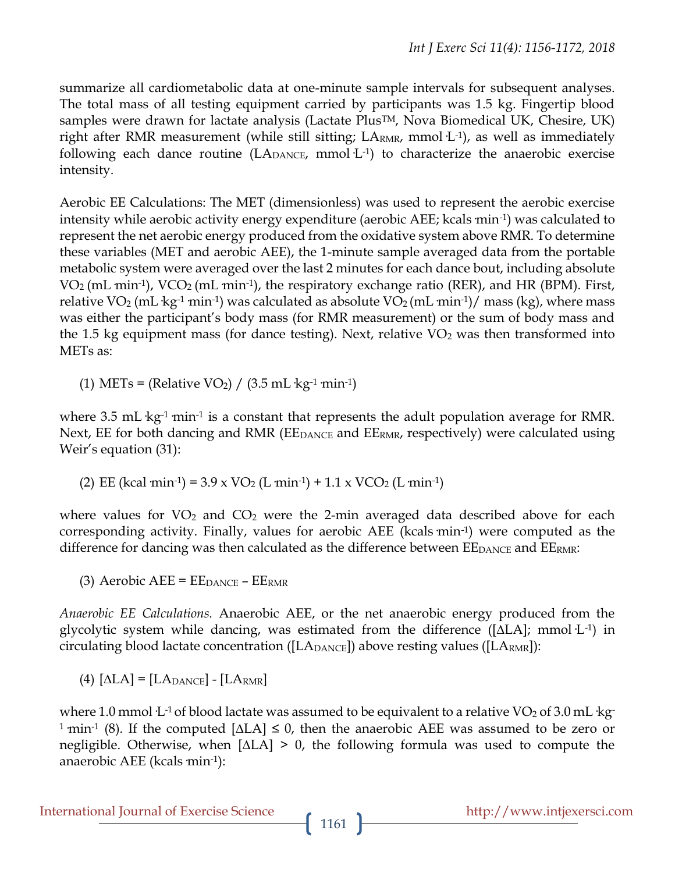summarize all cardiometabolic data at one-minute sample intervals for subsequent analyses. The total mass of all testing equipment carried by participants was 1.5 kg. Fingertip blood samples were drawn for lactate analysis (Lactate Plus<sup>TM</sup>, Nova Biomedical UK, Chesire, UK) right after RMR measurement (while still sitting;  $LA<sub>RMR</sub>$ , mmol $L<sup>-1</sup>$ ), as well as immediately following each dance routine  $(LA_{\text{DANCE}})$  mmol $L^{-1}$  to characterize the anaerobic exercise intensity.

Aerobic EE Calculations: The MET (dimensionless) was used to represent the aerobic exercise intensity while aerobic activity energy expenditure (aerobic AEE; kcals min<sup>-1</sup>) was calculated to represent the net aerobic energy produced from the oxidative system above RMR. To determine these variables (MET and aerobic AEE), the 1-minute sample averaged data from the portable metabolic system were averaged over the last 2 minutes for each dance bout, including absolute  $VO<sub>2</sub> (mL min<sup>-1</sup>)$ ,  $VCO<sub>2</sub> (mL min<sup>-1</sup>)$ , the respiratory exchange ratio (RER), and HR (BPM). First, relative VO<sub>2</sub> (mL·kg<sup>-1</sup> min<sup>-1</sup>) was calculated as absolute VO<sub>2</sub> (mL min<sup>-1</sup>)/ mass (kg), where mass was either the participant's body mass (for RMR measurement) or the sum of body mass and the 1.5 kg equipment mass (for dance testing). Next, relative  $VO<sub>2</sub>$  was then transformed into METs as:

(1) METs = (Relative VO<sub>2</sub>) /  $(3.5 \text{ mL} \cdot \text{kg}^{-1} \text{ min}^{-1})$ 

where 3.5 mL  $kg<sup>-1</sup>$  min<sup>-1</sup> is a constant that represents the adult population average for RMR. Next, EE for both dancing and RMR (EE<sub>DANCE</sub> and EE<sub>RMR</sub>, respectively) were calculated using Weir's equation (31):

(2) EE (kcal min<sup>-1</sup>) =  $3.9 \times \text{VO}_2$  (L min<sup>-1</sup>) +  $1.1 \times \text{VCO}_2$  (L min<sup>-1</sup>)

where values for  $VO<sub>2</sub>$  and  $CO<sub>2</sub>$  were the 2-min averaged data described above for each corresponding activity. Finally, values for aerobic AEE (kcals min<sup>-1</sup>) were computed as the difference for dancing was then calculated as the difference between  $\rm{EE}_{\rm{DANCE}}$  and  $\rm{EE}_{\rm{RMR}}$ :

(3) Aerobic AEE =  $EE_{\text{DANCE}} - EE_{\text{RMR}}$ 

*Anaerobic EE Calculations.* Anaerobic AEE, or the net anaerobic energy produced from the glycolytic system while dancing, was estimated from the difference ([∆LA]; mmol·L-1) in circulating blood lactate concentration ([ $LA<sub>DANCE</sub>$ ]) above resting values ( $[LA<sub>RMR</sub>]$ ):

 $(4)$   $[\Delta LA] = [LA_{DANCE}] - [LA_{RMR}]$ 

where 1.0 mmol  $L<sup>1</sup>$  of blood lactate was assumed to be equivalent to a relative VO<sub>2</sub> of 3.0 mL kg <sup>1</sup> min<sup>-1</sup> (8). If the computed [∆LA] ≤ 0, then the anaerobic AEE was assumed to be zero or negligible. Otherwise, when [∆LA] > 0, the following formula was used to compute the anaerobic AEE (kcals  $min<sup>-1</sup>$ ):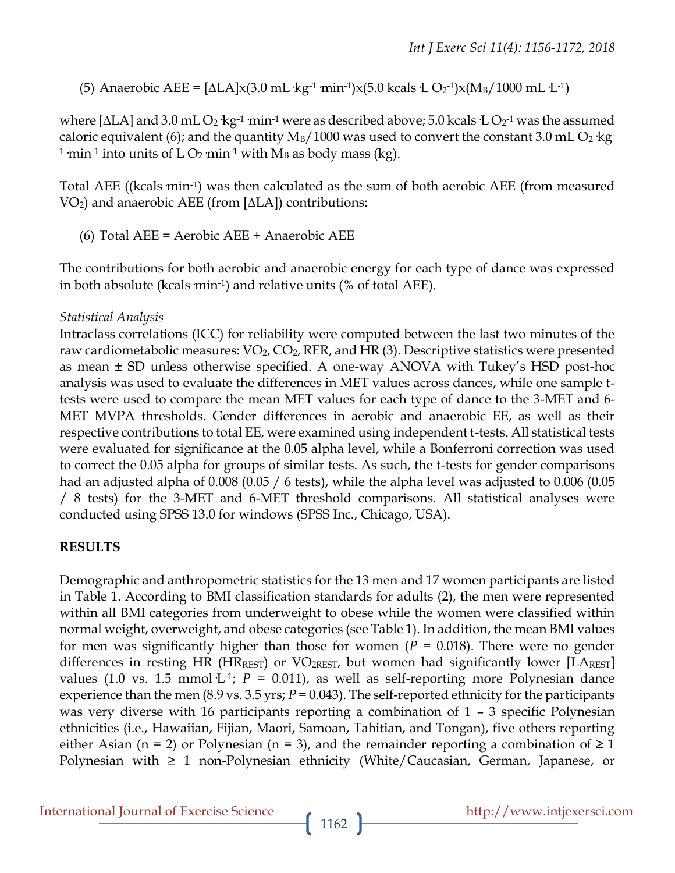(5) Anaerobic AEE =  $[\Delta LA] \times (3.0 \text{ mL} \cdot \text{kg}^{-1} \cdot \text{min}^{-1}) \times (5.0 \text{ kcals} \cdot \text{L} \cdot \text{O}_2^{-1}) \times (M_B / 1000 \text{ mL} \cdot \text{L}^{-1})$ 

where [∆LA] and 3.0 mL O2  $kg$ -1  $\min$ -1 were as described above; 5.0 kcals ·L O2-1 was the assumed caloric equivalent (6); and the quantity  $M_B/1000$  was used to convert the constant 3.0 mL O<sub>2</sub> kg <sup>1</sup> min<sup>-1</sup> into units of L O<sub>2</sub> min<sup>-1</sup> with M<sub>B</sub> as body mass (kg).

Total AEE ((kcals min<sup>-1</sup>) was then calculated as the sum of both aerobic AEE (from measured VO2) and anaerobic AEE (from [∆LA]) contributions:

(6) Total AEE = Aerobic AEE + Anaerobic AEE

The contributions for both aerobic and anaerobic energy for each type of dance was expressed in both absolute (kcals  $min^{-1}$ ) and relative units (% of total AEE).

#### *Statistical Analysis*

Intraclass correlations (ICC) for reliability were computed between the last two minutes of the raw cardiometabolic measures:  $VO<sub>2</sub>$ ,  $CO<sub>2</sub>$ , RER, and HR (3). Descriptive statistics were presented as mean ± SD unless otherwise specified. A one-way ANOVA with Tukey's HSD post-hoc analysis was used to evaluate the differences in MET values across dances, while one sample ttests were used to compare the mean MET values for each type of dance to the 3-MET and 6- MET MVPA thresholds. Gender differences in aerobic and anaerobic EE, as well as their respective contributions to total EE, were examined using independent t-tests. All statistical tests were evaluated for significance at the 0.05 alpha level, while a Bonferroni correction was used to correct the 0.05 alpha for groups of similar tests. As such, the t-tests for gender comparisons had an adjusted alpha of 0.008 (0.05 / 6 tests), while the alpha level was adjusted to 0.006 (0.05 / 8 tests) for the 3-MET and 6-MET threshold comparisons. All statistical analyses were conducted using SPSS 13.0 for windows (SPSS Inc., Chicago, USA).

# **RESULTS**

Demographic and anthropometric statistics for the 13 men and 17 women participants are listed in Table 1. According to BMI classification standards for adults (2), the men were represented within all BMI categories from underweight to obese while the women were classified within normal weight, overweight, and obese categories (see Table 1). In addition, the mean BMI values for men was significantly higher than those for women (*P* = 0.018). There were no gender differences in resting HR (HR<sub>REST</sub>) or VO<sub>2REST</sub>, but women had significantly lower [LA<sub>REST</sub>] values (1.0 vs. 1.5 mmol·L<sup>-1</sup>;  $P = 0.011$ ), as well as self-reporting more Polynesian dance experience than the men (8.9 vs. 3.5 yrs; *P* = 0.043). The self-reported ethnicity for the participants was very diverse with 16 participants reporting a combination of 1 – 3 specific Polynesian ethnicities (i.e., Hawaiian, Fijian, Maori, Samoan, Tahitian, and Tongan), five others reporting either Asian (n = 2) or Polynesian (n = 3), and the remainder reporting a combination of  $\geq 1$ Polynesian with ≥ 1 non-Polynesian ethnicity (White/Caucasian, German, Japanese, or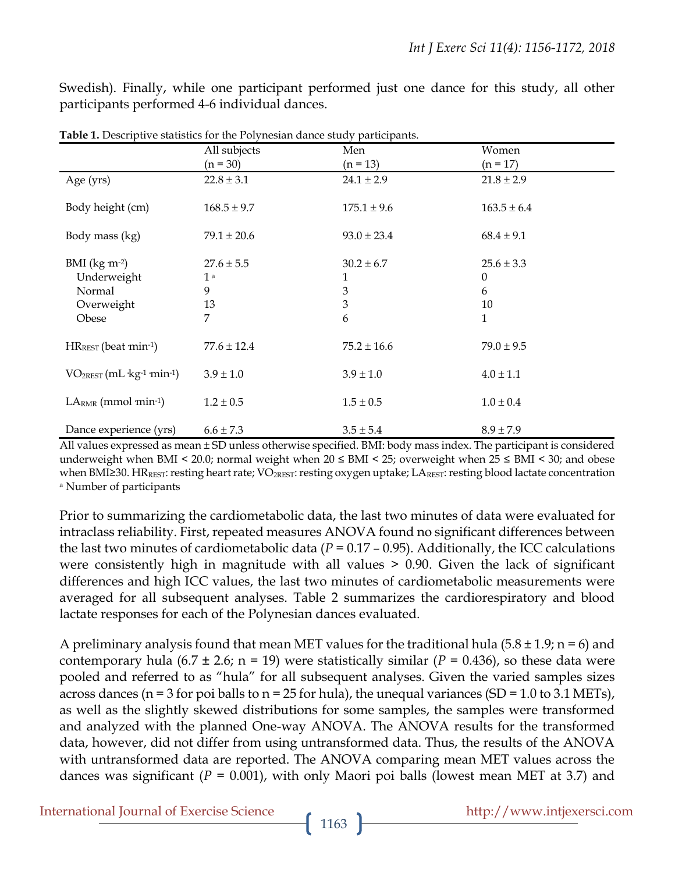Swedish). Finally, while one participant performed just one dance for this study, all other participants performed 4-6 individual dances.

|                                                                      | All subjects<br>$(n = 30)$                       | Men<br>$(n = 13)$                  | Women<br>$(n = 17)$                        |
|----------------------------------------------------------------------|--------------------------------------------------|------------------------------------|--------------------------------------------|
| Age (yrs)                                                            | $22.8 \pm 3.1$                                   | $24.1 \pm 2.9$                     | $21.8 \pm 2.9$                             |
| Body height (cm)                                                     | $168.5 \pm 9.7$                                  | $175.1 \pm 9.6$                    | $163.5 \pm 6.4$                            |
| Body mass (kg)                                                       | $79.1 \pm 20.6$                                  | $93.0 \pm 23.4$                    | $68.4 \pm 9.1$                             |
| $BMI$ (kg $m^{-2}$ )<br>Underweight<br>Normal<br>Overweight<br>Obese | $27.6 \pm 5.5$<br>1 <sup>a</sup><br>9<br>13<br>7 | $30.2 \pm 6.7$<br>1<br>3<br>3<br>6 | $25.6 \pm 3.3$<br>$\theta$<br>6<br>10<br>1 |
| $HR_{REST}$ (beat min-1)                                             | $77.6 \pm 12.4$                                  | $75.2 \pm 16.6$                    | $79.0 \pm 9.5$                             |
| $VO2REST (mL·kg-1 min-1)$                                            | $3.9 \pm 1.0$                                    | $3.9 \pm 1.0$                      | $4.0 \pm 1.1$                              |
| $LARMR$ (mmol min-1)                                                 | $1.2 \pm 0.5$                                    | $1.5 \pm 0.5$                      | $1.0 \pm 0.4$                              |
| Dance experience (yrs)                                               | $6.6 \pm 7.3$                                    | $3.5 \pm 5.4$                      | $8.9 \pm 7.9$                              |

**Table 1.** Descriptive statistics for the Polynesian dance study participants.

All values expressed as mean ± SD unless otherwise specified. BMI: body mass index. The participant is considered underweight when BMI < 20.0; normal weight when  $20 \leq BMI \leq 25$ ; overweight when  $25 \leq BMI \leq 30$ ; and obese when BMI≥30. HRREST: resting heart rate; VO<sub>2REST</sub>: resting oxygen uptake; LAREST: resting blood lactate concentration <sup>a</sup> Number of participants

Prior to summarizing the cardiometabolic data, the last two minutes of data were evaluated for intraclass reliability. First, repeated measures ANOVA found no significant differences between the last two minutes of cardiometabolic data ( $P = 0.17 - 0.95$ ). Additionally, the ICC calculations were consistently high in magnitude with all values > 0.90. Given the lack of significant differences and high ICC values, the last two minutes of cardiometabolic measurements were averaged for all subsequent analyses. Table 2 summarizes the cardiorespiratory and blood lactate responses for each of the Polynesian dances evaluated.

A preliminary analysis found that mean MET values for the traditional hula  $(5.8 \pm 1.9)$ ; n = 6) and contemporary hula (6.7  $\pm$  2.6; n = 19) were statistically similar ( $P = 0.436$ ), so these data were pooled and referred to as "hula" for all subsequent analyses. Given the varied samples sizes across dances (n = 3 for poi balls to  $n = 25$  for hula), the unequal variances (SD = 1.0 to 3.1 METs), as well as the slightly skewed distributions for some samples, the samples were transformed and analyzed with the planned One-way ANOVA. The ANOVA results for the transformed data, however, did not differ from using untransformed data. Thus, the results of the ANOVA with untransformed data are reported. The ANOVA comparing mean MET values across the dances was significant (*P* = 0.001), with only Maori poi balls (lowest mean MET at 3.7) and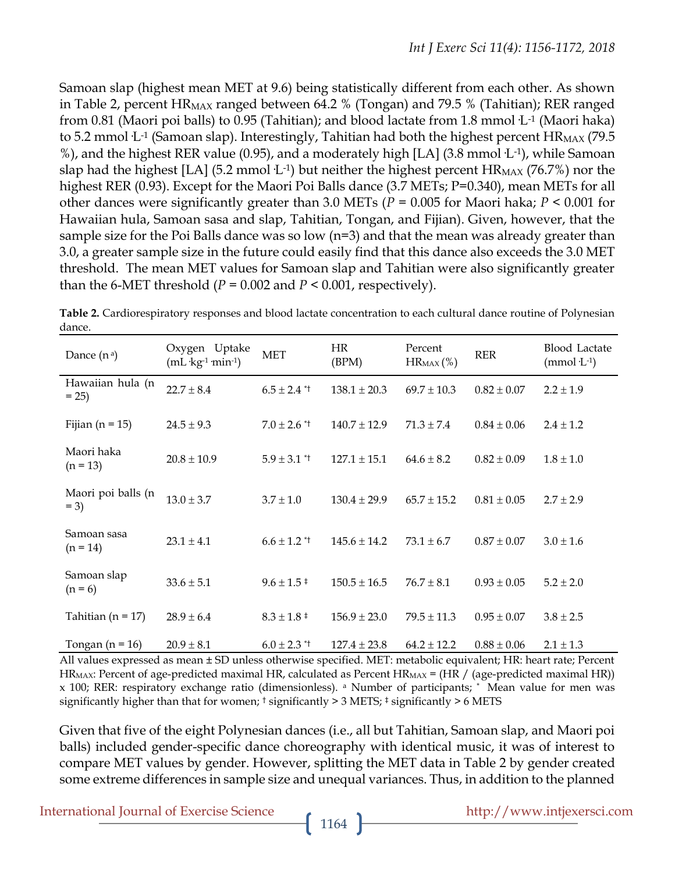Samoan slap (highest mean MET at 9.6) being statistically different from each other. As shown in Table 2, percent  $HR_{MAX}$  ranged between 64.2 % (Tongan) and 79.5 % (Tahitian); RER ranged from 0.81 (Maori poi balls) to 0.95 (Tahitian); and blood lactate from 1.8 mmol·L-1 (Maori haka) to 5.2 mmol  $L<sup>-1</sup>$  (Samoan slap). Interestingly, Tahitian had both the highest percent  $HR_{MAX}$  (79.5 %), and the highest RER value (0.95), and a moderately high [LA] (3.8 mmol·L-1), while Samoan slap had the highest [LA] (5.2 mmol L<sup>-1</sup>) but neither the highest percent  $HR_{MAX}$  (76.7%) nor the highest RER (0.93). Except for the Maori Poi Balls dance (3.7 METs; P=0.340), mean METs for all other dances were significantly greater than 3.0 METs (*P* = 0.005 for Maori haka; *P* < 0.001 for Hawaiian hula, Samoan sasa and slap, Tahitian, Tongan, and Fijian). Given, however, that the sample size for the Poi Balls dance was so low (n=3) and that the mean was already greater than 3.0, a greater sample size in the future could easily find that this dance also exceeds the 3.0 MET threshold. The mean MET values for Samoan slap and Tahitian were also significantly greater than the 6-MET threshold  $(P = 0.002$  and  $P \le 0.001$ , respectively).

| Dance $(n^a)$                | Oxygen Uptake<br>$(mL \, kg^{-1} \, min^{-1})$ | <b>MET</b>            | <b>HR</b><br>(BPM) | Percent<br>$HR_{MAX}$ (%) | <b>RER</b>      | <b>Blood Lactate</b><br>$(mmol·L-1)$ |
|------------------------------|------------------------------------------------|-----------------------|--------------------|---------------------------|-----------------|--------------------------------------|
| Hawaiian hula (n<br>$= 25$   | $22.7 \pm 8.4$                                 | $6.5 \pm 2.4$ *1      | $138.1 \pm 20.3$   | $69.7 \pm 10.3$           | $0.82 \pm 0.07$ | $2.2 \pm 1.9$                        |
| Fijian ( $n = 15$ )          | $24.5 \pm 9.3$                                 | $7.0 \pm 2.6$ *1      | $140.7 \pm 12.9$   | $71.3 \pm 7.4$            | $0.84 \pm 0.06$ | $2.4 \pm 1.2$                        |
| Maori haka<br>$(n = 13)$     | $20.8 \pm 10.9$                                | $5.9 \pm 3.1$ *       | $127.1 \pm 15.1$   | $64.6 \pm 8.2$            | $0.82 \pm 0.09$ | $1.8 \pm 1.0$                        |
| Maori poi balls (n<br>$= 3)$ | $13.0 \pm 3.7$                                 | $3.7 \pm 1.0$         | $130.4 \pm 29.9$   | $65.7 \pm 15.2$           | $0.81 \pm 0.05$ | $2.7 \pm 2.9$                        |
| Samoan sasa<br>$(n = 14)$    | $23.1 \pm 4.1$                                 | $6.6 \pm 1.2$ *       | $145.6 \pm 14.2$   | $73.1 \pm 6.7$            | $0.87 \pm 0.07$ | $3.0 \pm 1.6$                        |
| Samoan slap<br>$(n = 6)$     | $33.6 \pm 5.1$                                 | $9.6 \pm 1.5^{\pm}$   | $150.5 \pm 16.5$   | $76.7 \pm 8.1$            | $0.93 \pm 0.05$ | $5.2 \pm 2.0$                        |
| Tahitian ( $n = 17$ )        | $28.9 \pm 6.4$                                 | $8.3 \pm 1.8 \pm 1.8$ | $156.9 \pm 23.0$   | $79.5 \pm 11.3$           | $0.95 \pm 0.07$ | $3.8 \pm 2.5$                        |
| Tongan ( $n = 16$ )          | $20.9 \pm 8.1$                                 | $6.0 \pm 2.3$ *       | $127.4 \pm 23.8$   | $64.2 \pm 12.2$           | $0.88 \pm 0.06$ | $2.1 \pm 1.3$                        |

**Table 2.** Cardiorespiratory responses and blood lactate concentration to each cultural dance routine of Polynesian dance.

All values expressed as mean ± SD unless otherwise specified. MET: metabolic equivalent; HR: heart rate; Percent  $HR_{MAX}$ : Percent of age-predicted maximal HR, calculated as Percent HR<sub>MAX</sub> = (HR / (age-predicted maximal HR)) x 100; RER: respiratory exchange ratio (dimensionless). <sup>a</sup> Number of participants; \* Mean value for men was significantly higher than that for women;  $\dagger$  significantly > 3 METS;  $\dagger$  significantly > 6 METS

Given that five of the eight Polynesian dances (i.e., all but Tahitian, Samoan slap, and Maori poi balls) included gender-specific dance choreography with identical music, it was of interest to compare MET values by gender. However, splitting the MET data in Table 2 by gender created some extreme differences in sample size and unequal variances. Thus, in addition to the planned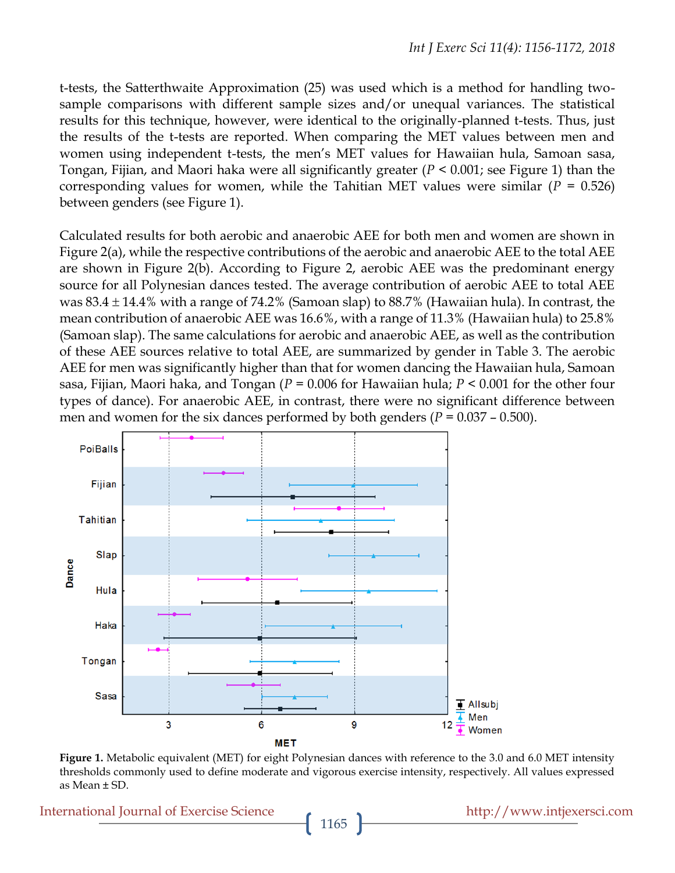t-tests, the Satterthwaite Approximation (25) was used which is a method for handling twosample comparisons with different sample sizes and/or unequal variances. The statistical results for this technique, however, were identical to the originally-planned t-tests. Thus, just the results of the t-tests are reported. When comparing the MET values between men and women using independent t-tests, the men's MET values for Hawaiian hula, Samoan sasa, Tongan, Fijian, and Maori haka were all significantly greater (*P* < 0.001; see Figure 1) than the corresponding values for women, while the Tahitian MET values were similar ( $P = 0.526$ ) between genders (see Figure 1).

Calculated results for both aerobic and anaerobic AEE for both men and women are shown in Figure 2(a), while the respective contributions of the aerobic and anaerobic AEE to the total AEE are shown in Figure 2(b). According to Figure 2, aerobic AEE was the predominant energy source for all Polynesian dances tested. The average contribution of aerobic AEE to total AEE was  $83.4 \pm 14.4\%$  with a range of 74.2% (Samoan slap) to  $88.7\%$  (Hawaiian hula). In contrast, the mean contribution of anaerobic AEE was 16.6%, with a range of 11.3% (Hawaiian hula) to 25.8% (Samoan slap). The same calculations for aerobic and anaerobic AEE, as well as the contribution of these AEE sources relative to total AEE, are summarized by gender in Table 3. The aerobic AEE for men was significantly higher than that for women dancing the Hawaiian hula, Samoan sasa, Fijian, Maori haka, and Tongan (*P* = 0.006 for Hawaiian hula; *P* < 0.001 for the other four types of dance). For anaerobic AEE, in contrast, there were no significant difference between men and women for the six dances performed by both genders  $(P = 0.037 - 0.500)$ .



**Figure 1.** Metabolic equivalent (MET) for eight Polynesian dances with reference to the 3.0 and 6.0 MET intensity thresholds commonly used to define moderate and vigorous exercise intensity, respectively. All values expressed as Mean ± SD.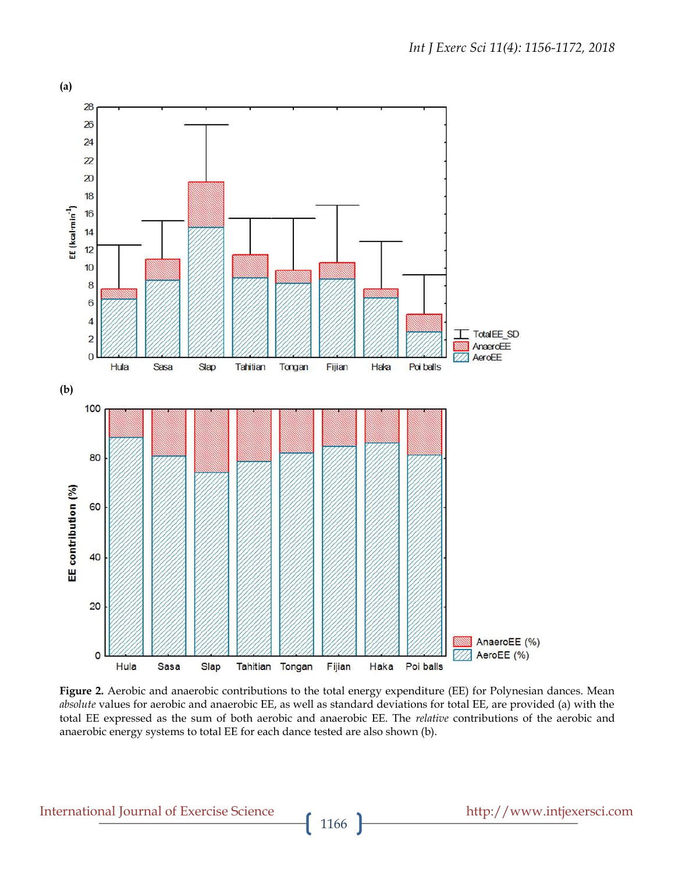

**Figure 2.** Aerobic and anaerobic contributions to the total energy expenditure (EE) for Polynesian dances. Mean *absolute* values for aerobic and anaerobic EE, as well as standard deviations for total EE, are provided (a) with the total EE expressed as the sum of both aerobic and anaerobic EE. The *relative* contributions of the aerobic and anaerobic energy systems to total EE for each dance tested are also shown (b).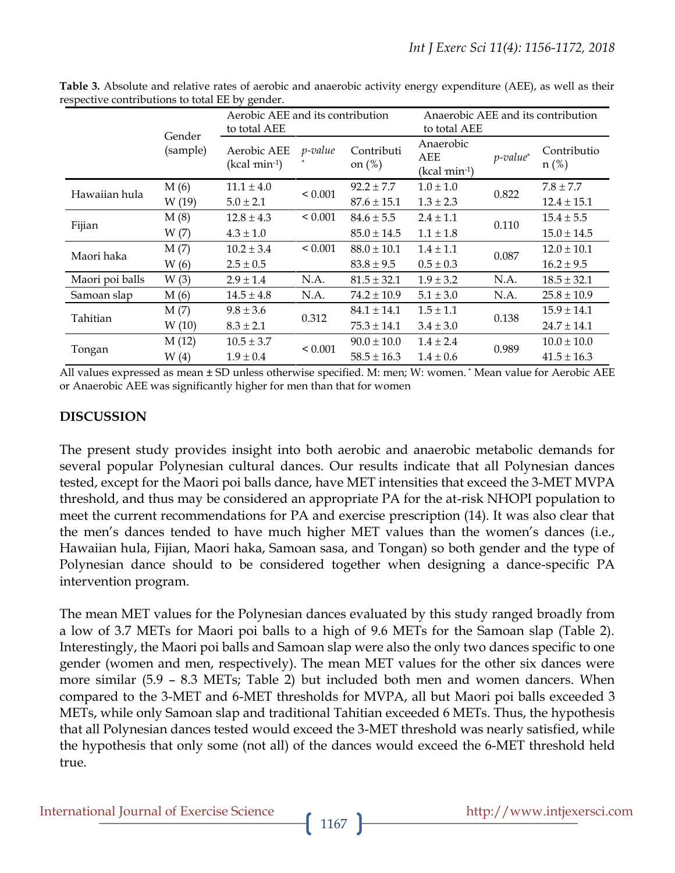|                 | $\alpha$ . The common $\alpha$ is the set of $\beta$ and $\beta$ is the set of $\alpha$ |                                                  |                 |                                                    |                  |             |                 |  |
|-----------------|-----------------------------------------------------------------------------------------|--------------------------------------------------|-----------------|----------------------------------------------------|------------------|-------------|-----------------|--|
|                 |                                                                                         | Aerobic AEE and its contribution<br>to total AEE |                 | Anaerobic AEE and its contribution<br>to total AEE |                  |             |                 |  |
|                 | Gender<br>(sample)                                                                      |                                                  |                 |                                                    |                  |             |                 |  |
|                 |                                                                                         | Aerobic AEE<br>$(kcal min-1)$                    | <i>p</i> -value | Contributi<br>on $(\%)$                            | Anaerobic<br>AEE | $p$ -value* | Contributio     |  |
|                 |                                                                                         |                                                  |                 |                                                    | $(kcal min-1)$   |             | $n$ (%)         |  |
| Hawaiian hula   | M(6)                                                                                    | $11.1 \pm 4.0$                                   | ${}_{0.001}$    | $92.2 \pm 7.7$                                     | $1.0 \pm 1.0$    | 0.822       | $7.8 \pm 7.7$   |  |
|                 | W (19)                                                                                  | $5.0 \pm 2.1$                                    |                 | $87.6 \pm 15.1$                                    | $1.3 \pm 2.3$    |             | $12.4 \pm 15.1$ |  |
| Fijian          | M(8)                                                                                    | $12.8 \pm 4.3$                                   | < 0.001         | $84.6 \pm 5.5$                                     | $2.4 \pm 1.1$    | 0.110       | $15.4 \pm 5.5$  |  |
|                 | W(7)                                                                                    | $4.3 \pm 1.0$                                    |                 | $85.0 \pm 14.5$                                    | $1.1 \pm 1.8$    |             | $15.0 \pm 14.5$ |  |
| Maori haka      | M(7)                                                                                    | $10.2 \pm 3.4$                                   | ${}_{0.001}$    | $88.0 \pm 10.1$                                    | $1.4 \pm 1.1$    | 0.087       | $12.0 \pm 10.1$ |  |
|                 | W(6)                                                                                    | $2.5 \pm 0.5$                                    |                 | $83.8 \pm 9.5$                                     | $0.5 \pm 0.3$    |             | $16.2 \pm 9.5$  |  |
| Maori poi balls | W(3)                                                                                    | $2.9 \pm 1.4$                                    | N.A.            | $81.5 \pm 32.1$                                    | $1.9 \pm 3.2$    | N.A.        | $18.5 \pm 32.1$ |  |
| Samoan slap     | M(6)                                                                                    | $14.5 \pm 4.8$                                   | N.A.            | $74.2 \pm 10.9$                                    | $5.1 \pm 3.0$    | N.A.        | $25.8 \pm 10.9$ |  |
| Tahitian        | M(7)                                                                                    | $9.8 \pm 3.6$                                    | 0.312           | $84.1 \pm 14.1$                                    | $1.5 \pm 1.1$    | 0.138       | $15.9 \pm 14.1$ |  |
|                 | W(10)                                                                                   | $8.3 \pm 2.1$                                    |                 | $75.3 \pm 14.1$                                    | $3.4 \pm 3.0$    |             | $24.7 \pm 14.1$ |  |
| Tongan          | M(12)                                                                                   | $10.5 \pm 3.7$                                   | < 0.001         | $90.0 \pm 10.0$                                    | $1.4 \pm 2.4$    | 0.989       | $10.0 \pm 10.0$ |  |
|                 | W(4)                                                                                    | $1.9 \pm 0.4$                                    |                 | $58.5 \pm 16.3$                                    | $1.4 \pm 0.6$    |             | $41.5 \pm 16.3$ |  |

**Table 3.** Absolute and relative rates of aerobic and anaerobic activity energy expenditure (AEE), as well as their respective contributions to total EE by gender.

All values expressed as mean ± SD unless otherwise specified. M: men; W: women. \* Mean value for Aerobic AEE or Anaerobic AEE was significantly higher for men than that for women

# **DISCUSSION**

The present study provides insight into both aerobic and anaerobic metabolic demands for several popular Polynesian cultural dances. Our results indicate that all Polynesian dances tested, except for the Maori poi balls dance, have MET intensities that exceed the 3-MET MVPA threshold, and thus may be considered an appropriate PA for the at-risk NHOPI population to meet the current recommendations for PA and exercise prescription (14). It was also clear that the men's dances tended to have much higher MET values than the women's dances (i.e., Hawaiian hula, Fijian, Maori haka, Samoan sasa, and Tongan) so both gender and the type of Polynesian dance should to be considered together when designing a dance-specific PA intervention program.

The mean MET values for the Polynesian dances evaluated by this study ranged broadly from a low of 3.7 METs for Maori poi balls to a high of 9.6 METs for the Samoan slap (Table 2). Interestingly, the Maori poi balls and Samoan slap were also the only two dances specific to one gender (women and men, respectively). The mean MET values for the other six dances were more similar (5.9 – 8.3 METs; Table 2) but included both men and women dancers. When compared to the 3-MET and 6-MET thresholds for MVPA, all but Maori poi balls exceeded 3 METs, while only Samoan slap and traditional Tahitian exceeded 6 METs. Thus, the hypothesis that all Polynesian dances tested would exceed the 3-MET threshold was nearly satisfied, while the hypothesis that only some (not all) of the dances would exceed the 6-MET threshold held true.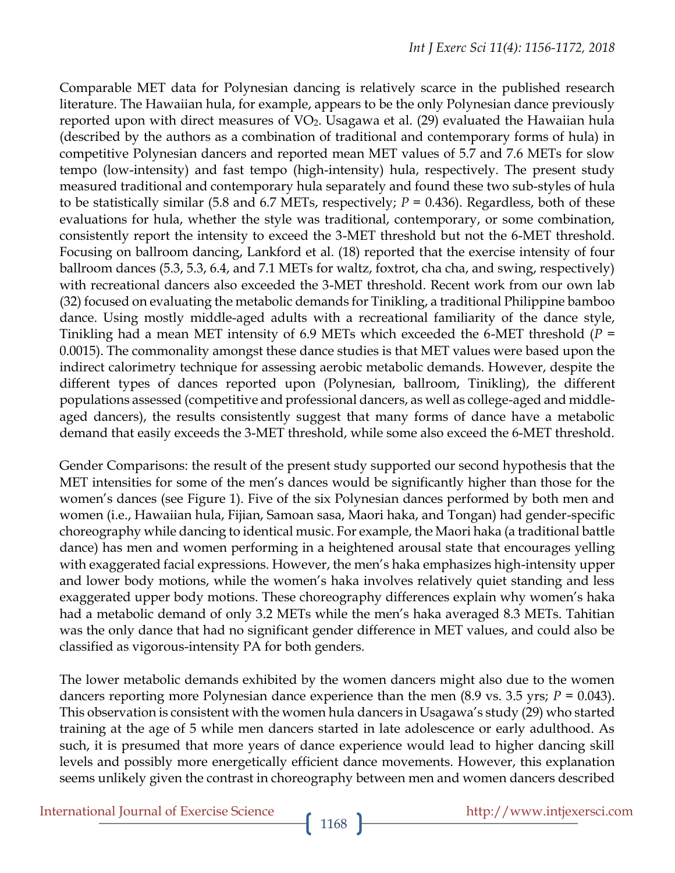Comparable MET data for Polynesian dancing is relatively scarce in the published research literature. The Hawaiian hula, for example, appears to be the only Polynesian dance previously reported upon with direct measures of  $VO<sub>2</sub>$ . Usagawa et al. (29) evaluated the Hawaiian hula (described by the authors as a combination of traditional and contemporary forms of hula) in competitive Polynesian dancers and reported mean MET values of 5.7 and 7.6 METs for slow tempo (low-intensity) and fast tempo (high-intensity) hula, respectively. The present study measured traditional and contemporary hula separately and found these two sub-styles of hula to be statistically similar (5.8 and 6.7 METs, respectively; *P* = 0.436). Regardless, both of these evaluations for hula, whether the style was traditional, contemporary, or some combination, consistently report the intensity to exceed the 3-MET threshold but not the 6-MET threshold. Focusing on ballroom dancing, Lankford et al. (18) reported that the exercise intensity of four ballroom dances (5.3, 5.3, 6.4, and 7.1 METs for waltz, foxtrot, cha cha, and swing, respectively) with recreational dancers also exceeded the 3-MET threshold. Recent work from our own lab (32) focused on evaluating the metabolic demands for Tinikling, a traditional Philippine bamboo dance. Using mostly middle-aged adults with a recreational familiarity of the dance style, Tinikling had a mean MET intensity of 6.9 METs which exceeded the 6-MET threshold (*P* = 0.0015). The commonality amongst these dance studies is that MET values were based upon the indirect calorimetry technique for assessing aerobic metabolic demands. However, despite the different types of dances reported upon (Polynesian, ballroom, Tinikling), the different populations assessed (competitive and professional dancers, as well as college-aged and middleaged dancers), the results consistently suggest that many forms of dance have a metabolic demand that easily exceeds the 3-MET threshold, while some also exceed the 6-MET threshold.

Gender Comparisons: the result of the present study supported our second hypothesis that the MET intensities for some of the men's dances would be significantly higher than those for the women's dances (see Figure 1). Five of the six Polynesian dances performed by both men and women (i.e., Hawaiian hula, Fijian, Samoan sasa, Maori haka, and Tongan) had gender-specific choreography while dancing to identical music. For example, the Maori haka (a traditional battle dance) has men and women performing in a heightened arousal state that encourages yelling with exaggerated facial expressions. However, the men's haka emphasizes high-intensity upper and lower body motions, while the women's haka involves relatively quiet standing and less exaggerated upper body motions. These choreography differences explain why women's haka had a metabolic demand of only 3.2 METs while the men's haka averaged 8.3 METs. Tahitian was the only dance that had no significant gender difference in MET values, and could also be classified as vigorous-intensity PA for both genders.

The lower metabolic demands exhibited by the women dancers might also due to the women dancers reporting more Polynesian dance experience than the men (8.9 vs. 3.5 yrs; *P* = 0.043). This observation is consistent with the women hula dancers in Usagawa's study (29) who started training at the age of 5 while men dancers started in late adolescence or early adulthood. As such, it is presumed that more years of dance experience would lead to higher dancing skill levels and possibly more energetically efficient dance movements. However, this explanation seems unlikely given the contrast in choreography between men and women dancers described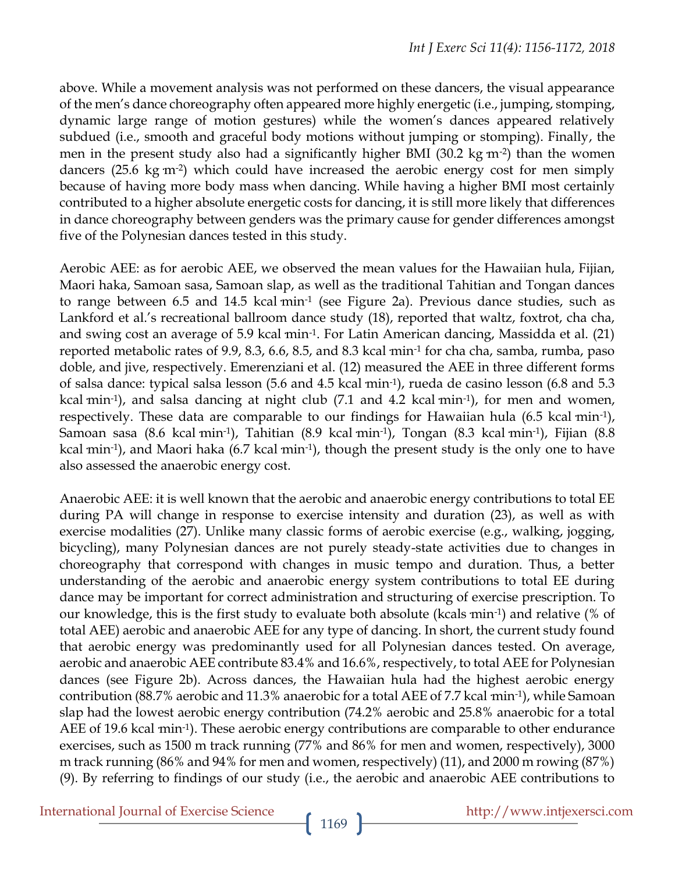above. While a movement analysis was not performed on these dancers, the visual appearance of the men's dance choreography often appeared more highly energetic (i.e., jumping, stomping, dynamic large range of motion gestures) while the women's dances appeared relatively subdued (i.e., smooth and graceful body motions without jumping or stomping). Finally, the men in the present study also had a significantly higher BMI  $(30.2 \text{ kg m}^{-2})$  than the women dancers  $(25.6 \text{ kg m}^{-2})$  which could have increased the aerobic energy cost for men simply because of having more body mass when dancing. While having a higher BMI most certainly contributed to a higher absolute energetic costs for dancing, it is still more likely that differences in dance choreography between genders was the primary cause for gender differences amongst five of the Polynesian dances tested in this study.

Aerobic AEE: as for aerobic AEE, we observed the mean values for the Hawaiian hula, Fijian, Maori haka, Samoan sasa, Samoan slap, as well as the traditional Tahitian and Tongan dances to range between 6.5 and 14.5 kcal min<sup>-1</sup> (see Figure 2a). Previous dance studies, such as Lankford et al.'s recreational ballroom dance study (18), reported that waltz, foxtrot, cha cha, and swing cost an average of 5.9 kcal min<sup>-1</sup>. For Latin American dancing, Massidda et al. (21) reported metabolic rates of 9.9, 8.3, 6.6, 8.5, and 8.3 kcal·min-1 for cha cha, samba, rumba, paso doble, and jive, respectively. Emerenziani et al. (12) measured the AEE in three different forms of salsa dance: typical salsa lesson (5.6 and 4.5 kcal·min-1), rueda de casino lesson (6.8 and 5.3 kcal  $min^{-1}$ ), and salsa dancing at night club (7.1 and 4.2 kcal  $min^{-1}$ ), for men and women, respectively. These data are comparable to our findings for Hawaiian hula (6.5 kcal min<sup>-1</sup>), Samoan sasa (8.6 kcal·min<sup>-1</sup>), Tahitian (8.9 kcal·min<sup>-1</sup>), Tongan (8.3 kcal·min<sup>-1</sup>), Fijian (8.8 kcal  $min^{-1}$ ), and Maori haka (6.7 kcal  $min^{-1}$ ), though the present study is the only one to have also assessed the anaerobic energy cost.

Anaerobic AEE: it is well known that the aerobic and anaerobic energy contributions to total EE during PA will change in response to exercise intensity and duration (23), as well as with exercise modalities (27). Unlike many classic forms of aerobic exercise (e.g., walking, jogging, bicycling), many Polynesian dances are not purely steady-state activities due to changes in choreography that correspond with changes in music tempo and duration. Thus, a better understanding of the aerobic and anaerobic energy system contributions to total EE during dance may be important for correct administration and structuring of exercise prescription. To our knowledge, this is the first study to evaluate both absolute (kcals·min-1) and relative (% of total AEE) aerobic and anaerobic AEE for any type of dancing. In short, the current study found that aerobic energy was predominantly used for all Polynesian dances tested. On average, aerobic and anaerobic AEE contribute 83.4% and 16.6%, respectively, to total AEE for Polynesian dances (see Figure 2b). Across dances, the Hawaiian hula had the highest aerobic energy contribution (88.7% aerobic and 11.3% anaerobic for a total AEE of 7.7 kcal  $\min^{-1}$ ), while Samoan slap had the lowest aerobic energy contribution (74.2% aerobic and 25.8% anaerobic for a total AEE of 19.6 kcal min<sup>-1</sup>). These aerobic energy contributions are comparable to other endurance exercises, such as 1500 m track running (77% and 86% for men and women, respectively), 3000 m track running (86% and 94% for men and women, respectively) (11), and 2000 m rowing (87%) (9). By referring to findings of our study (i.e., the aerobic and anaerobic AEE contributions to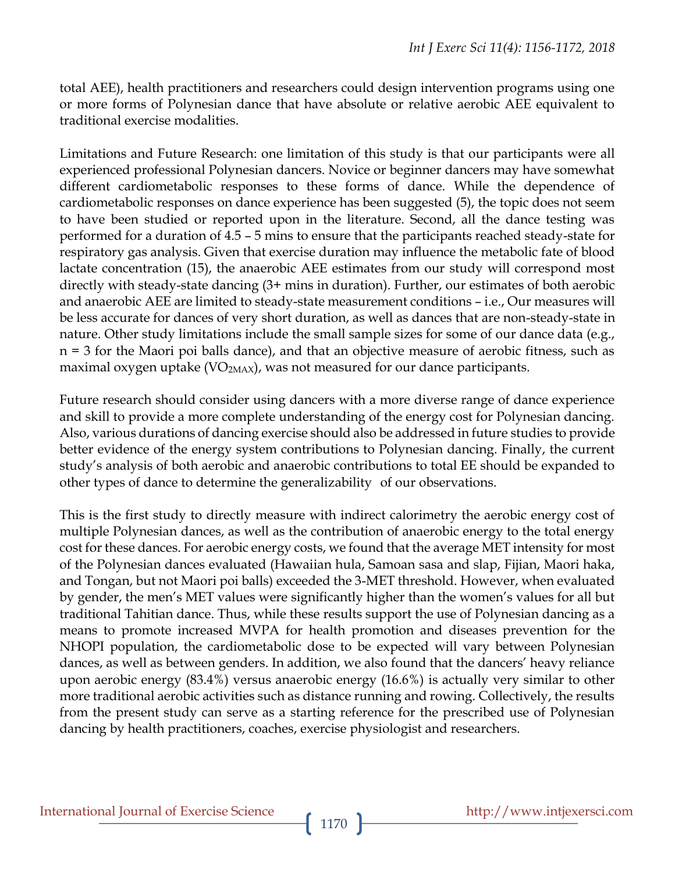total AEE), health practitioners and researchers could design intervention programs using one or more forms of Polynesian dance that have absolute or relative aerobic AEE equivalent to traditional exercise modalities.

Limitations and Future Research: one limitation of this study is that our participants were all experienced professional Polynesian dancers. Novice or beginner dancers may have somewhat different cardiometabolic responses to these forms of dance. While the dependence of cardiometabolic responses on dance experience has been suggested (5), the topic does not seem to have been studied or reported upon in the literature. Second, all the dance testing was performed for a duration of 4.5 – 5 mins to ensure that the participants reached steady-state for respiratory gas analysis. Given that exercise duration may influence the metabolic fate of blood lactate concentration (15), the anaerobic AEE estimates from our study will correspond most directly with steady-state dancing (3+ mins in duration). Further, our estimates of both aerobic and anaerobic AEE are limited to steady-state measurement conditions – i.e., Our measures will be less accurate for dances of very short duration, as well as dances that are non-steady-state in nature. Other study limitations include the small sample sizes for some of our dance data (e.g., n = 3 for the Maori poi balls dance), and that an objective measure of aerobic fitness, such as maximal oxygen uptake ( $VO<sub>2MAX</sub>$ ), was not measured for our dance participants.

Future research should consider using dancers with a more diverse range of dance experience and skill to provide a more complete understanding of the energy cost for Polynesian dancing. Also, various durations of dancing exercise should also be addressed in future studies to provide better evidence of the energy system contributions to Polynesian dancing. Finally, the current study's analysis of both aerobic and anaerobic contributions to total EE should be expanded to other types of dance to determine the generalizability of our observations.

This is the first study to directly measure with indirect calorimetry the aerobic energy cost of multiple Polynesian dances, as well as the contribution of anaerobic energy to the total energy cost for these dances. For aerobic energy costs, we found that the average MET intensity for most of the Polynesian dances evaluated (Hawaiian hula, Samoan sasa and slap, Fijian, Maori haka, and Tongan, but not Maori poi balls) exceeded the 3-MET threshold. However, when evaluated by gender, the men's MET values were significantly higher than the women's values for all but traditional Tahitian dance. Thus, while these results support the use of Polynesian dancing as a means to promote increased MVPA for health promotion and diseases prevention for the NHOPI population, the cardiometabolic dose to be expected will vary between Polynesian dances, as well as between genders. In addition, we also found that the dancers' heavy reliance upon aerobic energy (83.4%) versus anaerobic energy (16.6%) is actually very similar to other more traditional aerobic activities such as distance running and rowing. Collectively, the results from the present study can serve as a starting reference for the prescribed use of Polynesian dancing by health practitioners, coaches, exercise physiologist and researchers.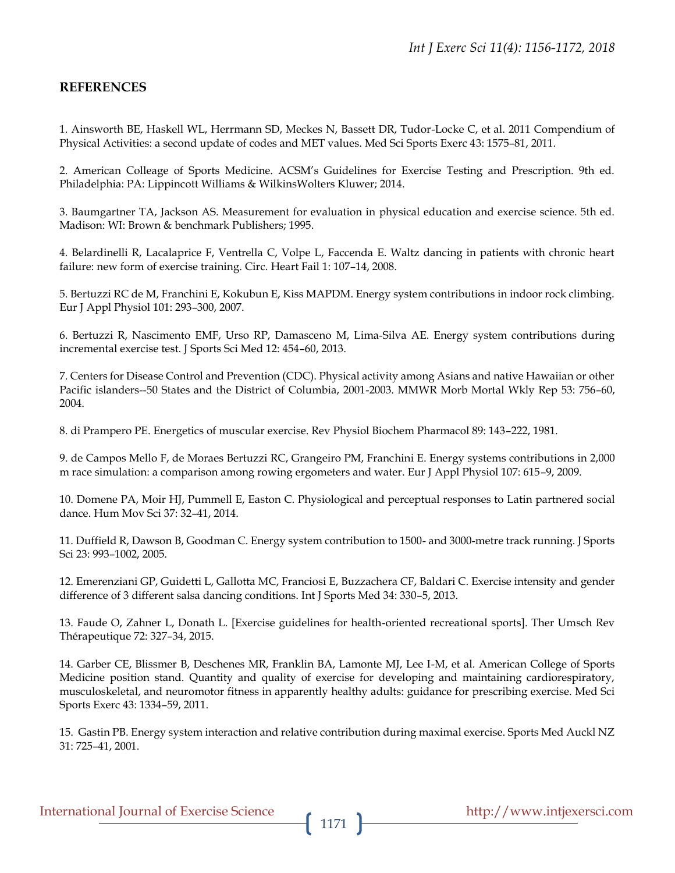#### **REFERENCES**

1. Ainsworth BE, Haskell WL, Herrmann SD, Meckes N, Bassett DR, Tudor-Locke C, et al. 2011 Compendium of Physical Activities: a second update of codes and MET values. Med Sci Sports Exerc 43: 1575–81, 2011.

2. American Colleage of Sports Medicine. ACSM's Guidelines for Exercise Testing and Prescription. 9th ed. Philadelphia: PA: Lippincott Williams & WilkinsWolters Kluwer; 2014.

3. Baumgartner TA, Jackson AS. Measurement for evaluation in physical education and exercise science. 5th ed. Madison: WI: Brown & benchmark Publishers; 1995.

4. Belardinelli R, Lacalaprice F, Ventrella C, Volpe L, Faccenda E. Waltz dancing in patients with chronic heart failure: new form of exercise training. Circ. Heart Fail 1: 107–14, 2008.

5. Bertuzzi RC de M, Franchini E, Kokubun E, Kiss MAPDM. Energy system contributions in indoor rock climbing. Eur J Appl Physiol 101: 293–300, 2007.

6. Bertuzzi R, Nascimento EMF, Urso RP, Damasceno M, Lima-Silva AE. Energy system contributions during incremental exercise test. J Sports Sci Med 12: 454–60, 2013.

7. Centers for Disease Control and Prevention (CDC). Physical activity among Asians and native Hawaiian or other Pacific islanders--50 States and the District of Columbia, 2001-2003. MMWR Morb Mortal Wkly Rep 53: 756–60, 2004.

8. di Prampero PE. Energetics of muscular exercise. Rev Physiol Biochem Pharmacol 89: 143–222, 1981.

9. de Campos Mello F, de Moraes Bertuzzi RC, Grangeiro PM, Franchini E. Energy systems contributions in 2,000 m race simulation: a comparison among rowing ergometers and water. Eur J Appl Physiol 107: 615–9, 2009.

10. Domene PA, Moir HJ, Pummell E, Easton C. Physiological and perceptual responses to Latin partnered social dance. Hum Mov Sci 37: 32–41, 2014.

11. Duffield R, Dawson B, Goodman C. Energy system contribution to 1500- and 3000-metre track running. J Sports Sci 23: 993–1002, 2005.

12. Emerenziani GP, Guidetti L, Gallotta MC, Franciosi E, Buzzachera CF, Baldari C. Exercise intensity and gender difference of 3 different salsa dancing conditions. Int J Sports Med 34: 330–5, 2013.

13. Faude O, Zahner L, Donath L. [Exercise guidelines for health-oriented recreational sports]. Ther Umsch Rev Thérapeutique 72: 327–34, 2015.

14. Garber CE, Blissmer B, Deschenes MR, Franklin BA, Lamonte MJ, Lee I-M, et al. American College of Sports Medicine position stand. Quantity and quality of exercise for developing and maintaining cardiorespiratory, musculoskeletal, and neuromotor fitness in apparently healthy adults: guidance for prescribing exercise. Med Sci Sports Exerc 43: 1334–59, 2011.

15. Gastin PB. Energy system interaction and relative contribution during maximal exercise. Sports Med Auckl NZ 31: 725–41, 2001.